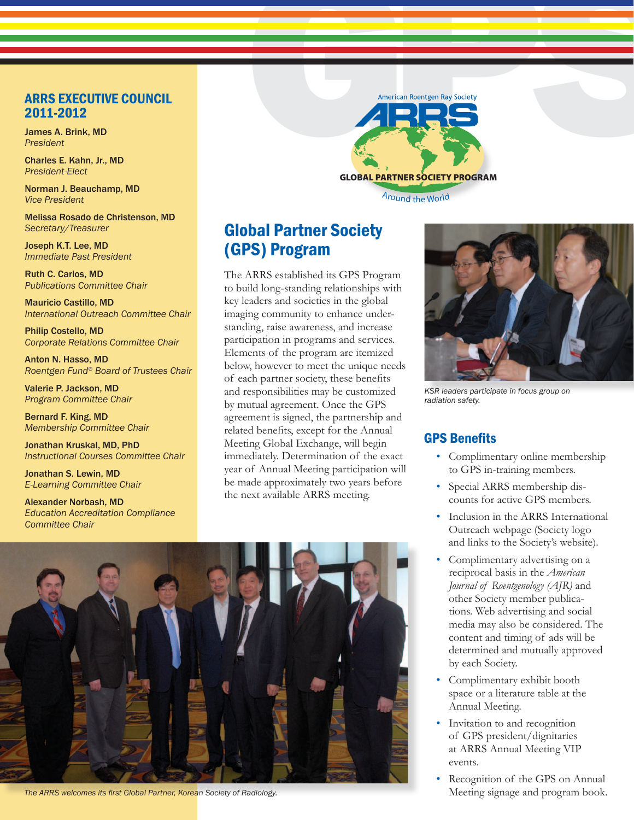#### ARRS EXECUTIVE COUNCIL 2011-2012

James A. Brink, MD *President*

Charles E. Kahn, Jr., MD *President-Elect*

Norman J. Beauchamp, MD *Vice President*

Melissa Rosado de Christenson, MD *Secretary/Treasurer*

Joseph K.T. Lee, MD *Immediate Past President*

Ruth C. Carlos, MD *Publications Committee Chair*

Mauricio Castillo, MD *International Outreach Committee Chair*

Philip Costello, MD *Corporate Relations Committee Chair*

Anton N. Hasso, MD *Roentgen Fund® Board of Trustees Chair*

Valerie P. Jackson, MD *Program Committee Chair*

Bernard F. King, MD *Membership Committee Chair*

Jonathan Kruskal, MD, PhD *Instructional Courses Committee Chair*

Jonathan S. Lewin, MD *E-Learning Committee Chair*

Alexander Norbash, MD *Education Accreditation Compliance Committee Chair*



Around the World

# Global Partner Society (GPS) Program

The ARRS established its GPS Program to build long-standing relationships with key leaders and societies in the global imaging community to enhance understanding, raise awareness, and increase participation in programs and services. Elements of the program are itemized below, however to meet the unique needs of each partner society, these benefits and responsibilities may be customized by mutual agreement. Once the GPS agreement is signed, the partnership and related benefits, except for the Annual Meeting Global Exchange, will begin immediately. Determination of the exact year of Annual Meeting participation will be made approximately two years before the next available ARRS meeting.



**The ARRS welcomes its first Global Partner, Korean Society of Radiology.** Meeting signage and program book.



*KSR leaders participate in focus group on radiation safety.*

## GPS Benefits

- Complimentary online membership to GPS in-training members.
- Special ARRS membership discounts for active GPS members.
- Inclusion in the ARRS International Outreach webpage (Society logo and links to the Society's website).
- Complimentary advertising on a reciprocal basis in the *American Journal of Roentgenology (AJR)* and other Society member publications. Web advertising and social media may also be considered. The content and timing of ads will be determined and mutually approved by each Society.
- Complimentary exhibit booth space or a literature table at the Annual Meeting.
- Invitation to and recognition of GPS president/dignitaries at ARRS Annual Meeting VIP events.
- Recognition of the GPS on Annual